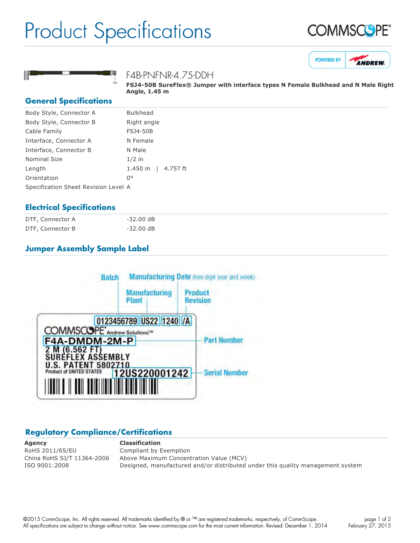## Product Specifications







#### F4B-PNFNR-4.75-DDH

**FSJ450B SureFlex® Jumper with interface types N Female Bulkhead and N Male Right Angle, 1.45 m**

#### **General Specifications**

| Body Style, Connector A              | <b>Bulkhead</b>          |
|--------------------------------------|--------------------------|
| Body Style, Connector B              | Right angle              |
| Cable Family                         | <b>FSJ4-50B</b>          |
| Interface, Connector A               | N Female                 |
| Interface, Connector B               | N Male                   |
| <b>Nominal Size</b>                  | $1/2$ in                 |
| Length                               | 4.757 ft<br>$1.450 \; m$ |
| Orientation                          | $0^{\circ}$              |
| Specification Sheet Revision Level A |                          |
|                                      |                          |

## **Electrical Specifications**

| DTF, Connector A | $-32.00$ dB |
|------------------|-------------|
| DTF, Connector B | $-32.00$ dB |

## **Jumper Assembly Sample Label**



## **Regulatory Compliance/Certifications**

**Agency Classification** RoHS 2011/65/EU Compliant by Exemption

China RoHS SJ/T 11364-2006 Above Maximum Concentration Value (MCV) ISO 9001:2008 Designed, manufactured and/or distributed under this quality management system